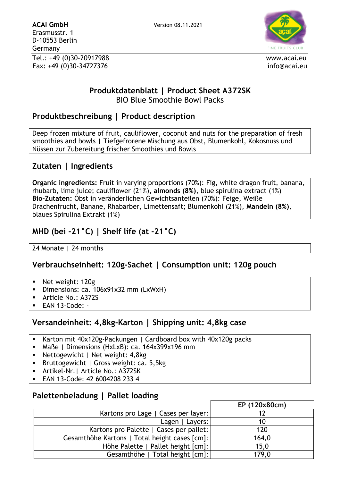

### **Produktdatenblatt | Product Sheet A372SK** BIO Blue Smoothie Bowl Packs

## **Produktbeschreibung | Product description**

Deep frozen mixture of fruit, cauliflower, coconut and nuts for the preparation of fresh smoothies and bowls | Tiefgefrorene Mischung aus Obst, Blumenkohl, Kokosnuss und Nüssen zur Zubereitung frischer Smoothies und Bowls

## **Zutaten | Ingredients**

**Organic ingredients:** Fruit in varying proportions (70%): Fig, white dragon fruit, banana, rhubarb, lime juice; cauliflower (21%), **almonds (8%)**, blue spirulina extract (1%) **Bio-Zutaten:** Obst in veränderlichen Gewichtsanteilen (70%): Feige, Weiße Drachenfrucht, Banane, Rhabarber, Limettensaft; Blumenkohl (21%), **Mandeln (8%)**, blaues Spirulina Extrakt (1%)

# **MHD (bei -21°C) | Shelf life (at -21°C)**

24 Monate | 24 months

## **Verbrauchseinheit: 120g-Sachet | Consumption unit: 120g pouch**

- Net weight: 120g
- Dimensions: ca. 106x91x32 mm (LxWxH)
- Article No.: A372S
- EAN 13-Code: -

### **Versandeinheit: 4,8kg-Karton | Shipping unit: 4,8kg case**

- Karton mit 40x120g-Packungen | Cardboard box with 40x120g packs
- Maße | Dimensions (HxLxB): ca. 164x399x196 mm
- Nettogewicht | Net weight: 4,8kg
- Bruttogewicht | Gross weight: ca. 5,5kg
- Artikel-Nr.| Article No.: A372SK
- EAN 13-Code: 42 6004208 233 4

## **Palettenbeladung | Pallet loading**

|                                               | EP (120x80cm) |
|-----------------------------------------------|---------------|
| Kartons pro Lage   Cases per layer:           |               |
| Lagen   Layers:                               | 10            |
| Kartons pro Palette   Cases per pallet:       | 120           |
| Gesamthöhe Kartons   Total height cases [cm]: | 164,0         |
| Höhe Palette   Pallet height [cm]:            | 15,0          |
| Gesamthöhe   Total height [cm]:               | 179,0         |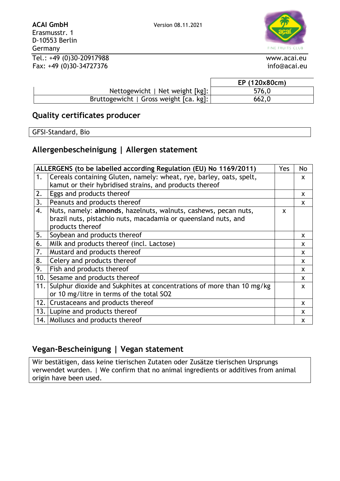

D-10553 Berlin Germany Tel.: +49 (0)30-20917988 www.acai.eu

Fax: +49 (0)30-34727376 info@acai.eu

|                                        | EP (120x80cm) |
|----------------------------------------|---------------|
| Nettogewicht   Net weight [kg]:        | 576,0         |
| Bruttogewicht   Gross weight [ca. kg]: | 662,0         |

### **Quality certificates producer**

GFSI-Standard, Bio

# **Allergenbescheinigung | Allergen statement**

| ALLERGENS (to be labelled according Regulation (EU) No 1169/2011) |                                                                       | Yes      | No |
|-------------------------------------------------------------------|-----------------------------------------------------------------------|----------|----|
| 1.                                                                | Cereals containing Gluten, namely: wheat, rye, barley, oats, spelt,   |          | X  |
|                                                                   | kamut or their hybridised strains, and products thereof               |          |    |
| 2.                                                                | Eggs and products thereof                                             |          | X  |
| 3.                                                                | Peanuts and products thereof                                          |          | X  |
| 4.                                                                | Nuts, namely: almonds, hazelnuts, walnuts, cashews, pecan nuts,       | <b>X</b> |    |
|                                                                   | brazil nuts, pistachio nuts, macadamia or queensland nuts, and        |          |    |
|                                                                   | products thereof                                                      |          |    |
| 5.                                                                | Soybean and products thereof                                          |          | X  |
| 6.                                                                | Milk and products thereof (incl. Lactose)                             |          | X  |
| 7.                                                                | Mustard and products thereof                                          |          | X  |
| 8.                                                                | Celery and products thereof                                           |          | X  |
| 9.                                                                | Fish and products thereof                                             |          | X  |
| 10.1                                                              | Sesame and products thereof                                           |          | X  |
| 11.                                                               | Sulphur dioxide and Sukphites at concentrations of more than 10 mg/kg |          | X  |
|                                                                   | or 10 mg/litre in terms of the total SO2                              |          |    |
| 12.1                                                              | Crustaceans and products thereof                                      |          | X  |
| 13.1                                                              | Lupine and products thereof                                           |          | X  |
|                                                                   | 14. Molluscs and products thereof                                     |          | X  |

## **Vegan-Bescheinigung | Vegan statement**

Wir bestätigen, dass keine tierischen Zutaten oder Zusätze tierischen Ursprungs verwendet wurden. | We confirm that no animal ingredients or additives from animal origin have been used.